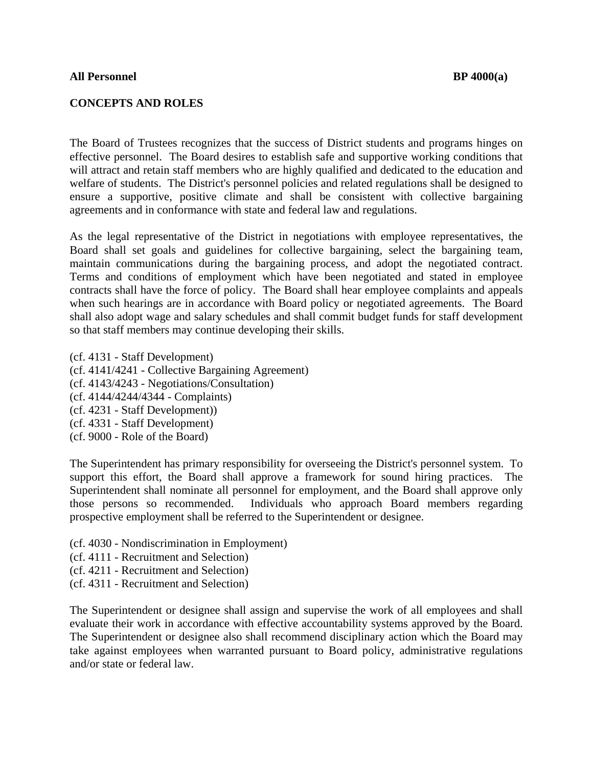## **CONCEPTS AND ROLES**

The Board of Trustees recognizes that the success of District students and programs hinges on effective personnel. The Board desires to establish safe and supportive working conditions that will attract and retain staff members who are highly qualified and dedicated to the education and welfare of students. The District's personnel policies and related regulations shall be designed to ensure a supportive, positive climate and shall be consistent with collective bargaining agreements and in conformance with state and federal law and regulations.

As the legal representative of the District in negotiations with employee representatives, the Board shall set goals and guidelines for collective bargaining, select the bargaining team, maintain communications during the bargaining process, and adopt the negotiated contract. Terms and conditions of employment which have been negotiated and stated in employee contracts shall have the force of policy. The Board shall hear employee complaints and appeals when such hearings are in accordance with Board policy or negotiated agreements. The Board shall also adopt wage and salary schedules and shall commit budget funds for staff development so that staff members may continue developing their skills.

(cf. 4131 - Staff Development) (cf. 4141/4241 - Collective Bargaining Agreement) (cf. 4143/4243 - Negotiations/Consultation) (cf. 4144/4244/4344 - Complaints) (cf. 4231 - Staff Development)) (cf. 4331 - Staff Development) (cf. 9000 - Role of the Board)

The Superintendent has primary responsibility for overseeing the District's personnel system. To support this effort, the Board shall approve a framework for sound hiring practices. The Superintendent shall nominate all personnel for employment, and the Board shall approve only those persons so recommended. Individuals who approach Board members regarding prospective employment shall be referred to the Superintendent or designee.

- (cf. 4030 Nondiscrimination in Employment)
- (cf. 4111 Recruitment and Selection)
- (cf. 4211 Recruitment and Selection)
- (cf. 4311 Recruitment and Selection)

The Superintendent or designee shall assign and supervise the work of all employees and shall evaluate their work in accordance with effective accountability systems approved by the Board. The Superintendent or designee also shall recommend disciplinary action which the Board may take against employees when warranted pursuant to Board policy, administrative regulations and/or state or federal law.